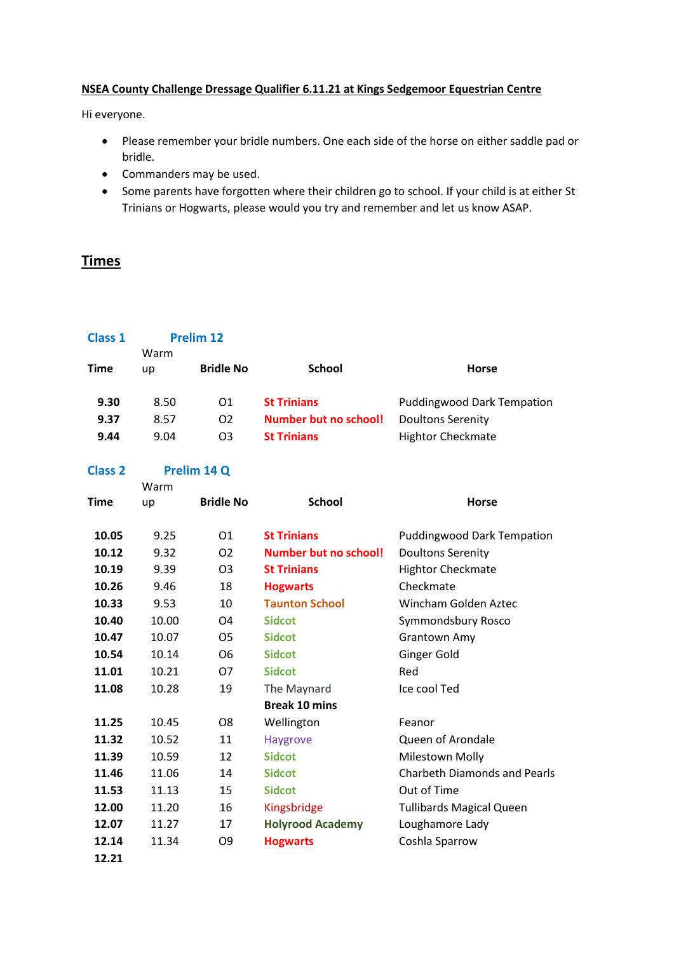## **NSEA County Challenge Dressage Qualifier 6.11.21 at Kings Sedgemoor Equestrian Centre**

Hi everyone.

- Please remember your bridle numbers. One each side of the horse on either saddle pad or bridle.
- Commanders may be used.
- Some parents have forgotten where their children go to school. If your child is at either St Trinians or Hogwarts, please would you try and remember and let us know ASAP.

## **Times**

| <b>Class 1</b> | <b>Prelim 12</b>    |                  |                              |                                     |
|----------------|---------------------|------------------|------------------------------|-------------------------------------|
| Time           | Warm<br>up          | <b>Bridle No</b> | <b>School</b>                | <b>Horse</b>                        |
| 9.30           | 8.50                | O <sub>1</sub>   | <b>St Trinians</b>           | <b>Puddingwood Dark Tempation</b>   |
| 9.37           | 8.57                | O <sub>2</sub>   | <b>Number but no school!</b> | <b>Doultons Serenity</b>            |
| 9.44           | 9.04                | O <sub>3</sub>   | <b>St Trinians</b>           | <b>Hightor Checkmate</b>            |
| <b>Class 2</b> | Prelim 14 Q<br>Warm |                  |                              |                                     |
| <b>Time</b>    | up                  | <b>Bridle No</b> | <b>School</b>                | <b>Horse</b>                        |
| 10.05          | 9.25                | 01               | <b>St Trinians</b>           | <b>Puddingwood Dark Tempation</b>   |
| 10.12          | 9.32                | O <sub>2</sub>   | <b>Number but no school!</b> | <b>Doultons Serenity</b>            |
| 10.19          | 9.39                | O <sub>3</sub>   | <b>St Trinians</b>           | <b>Hightor Checkmate</b>            |
| 10.26          | 9.46                | 18               | <b>Hogwarts</b>              | Checkmate                           |
| 10.33          | 9.53                | 10               | <b>Taunton School</b>        | Wincham Golden Aztec                |
| 10.40          | 10.00               | O4               | <b>Sidcot</b>                | Symmondsbury Rosco                  |
| 10.47          | 10.07               | O <sub>5</sub>   | <b>Sidcot</b>                | <b>Grantown Amy</b>                 |
| 10.54          | 10.14               | O <sub>6</sub>   | <b>Sidcot</b>                | <b>Ginger Gold</b>                  |
| 11.01          | 10.21               | <b>O7</b>        | <b>Sidcot</b>                | Red                                 |
| 11.08          | 10.28               | 19               | The Maynard                  | Ice cool Ted                        |
|                |                     |                  | <b>Break 10 mins</b>         |                                     |
| 11.25          | 10.45               | O <sub>8</sub>   | Wellington                   | Feanor                              |
| 11.32          | 10.52               | 11               | <b>Haygrove</b>              | Queen of Arondale                   |
| 11.39          | 10.59               | 12               | <b>Sidcot</b>                | <b>Milestown Molly</b>              |
| 11.46          | 11.06               | 14               | <b>Sidcot</b>                | <b>Charbeth Diamonds and Pearls</b> |
| 11.53          | 11.13               | 15               | <b>Sidcot</b>                | Out of Time                         |
| 12.00          | 11.20               | 16               | Kingsbridge                  | <b>Tullibards Magical Queen</b>     |
| 12.07          | 11.27               | 17               | <b>Holyrood Academy</b>      | Loughamore Lady                     |
| 12.14          | 11.34               | O <sub>9</sub>   | <b>Hogwarts</b>              | Coshla Sparrow                      |
| 12.21          |                     |                  |                              |                                     |